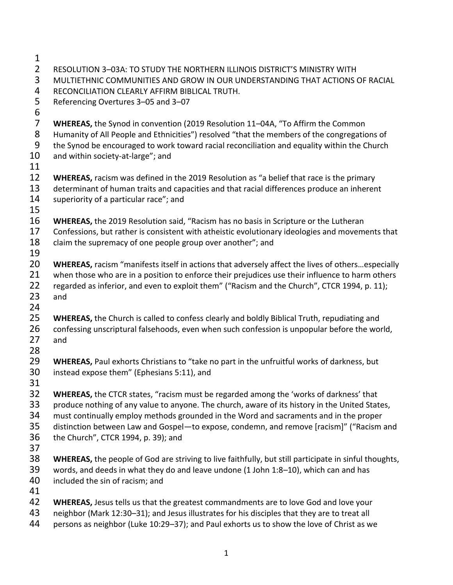| 1              |                                                                                                         |
|----------------|---------------------------------------------------------------------------------------------------------|
| $\overline{2}$ | RESOLUTION 3-03A: TO STUDY THE NORTHERN ILLINOIS DISTRICT'S MINISTRY WITH                               |
| 3              | MULTIETHNIC COMMUNITIES AND GROW IN OUR UNDERSTANDING THAT ACTIONS OF RACIAL                            |
| 4              | RECONCILIATION CLEARLY AFFIRM BIBLICAL TRUTH.                                                           |
| 5              | Referencing Overtures 3-05 and 3-07                                                                     |
| 6              |                                                                                                         |
| $\overline{7}$ | WHEREAS, the Synod in convention (2019 Resolution 11-04A, "To Affirm the Common                         |
| 8              | Humanity of All People and Ethnicities") resolved "that the members of the congregations of             |
| 9              | the Synod be encouraged to work toward racial reconciliation and equality within the Church             |
| 10             | and within society-at-large"; and                                                                       |
| 11             |                                                                                                         |
| 12             | <b>WHEREAS, racism was defined in the 2019 Resolution as "a belief that race is the primary</b>         |
| 13             | determinant of human traits and capacities and that racial differences produce an inherent              |
| 14             |                                                                                                         |
|                | superiority of a particular race"; and                                                                  |
| 15             |                                                                                                         |
| 16             | <b>WHEREAS, the 2019 Resolution said, "Racism has no basis in Scripture or the Lutheran</b>             |
| 17             | Confessions, but rather is consistent with atheistic evolutionary ideologies and movements that         |
| 18             | claim the supremacy of one people group over another"; and                                              |
| 19             |                                                                                                         |
| 20             | <b>WHEREAS, racism</b> "manifests itself in actions that adversely affect the lives of othersespecially |
| 21             | when those who are in a position to enforce their prejudices use their influence to harm others         |
| 22             | regarded as inferior, and even to exploit them" ("Racism and the Church", CTCR 1994, p. 11);            |
| 23             | and                                                                                                     |
| 24             |                                                                                                         |
| 25             | WHEREAS, the Church is called to confess clearly and boldly Biblical Truth, repudiating and             |
| 26             | confessing unscriptural falsehoods, even when such confession is unpopular before the world,            |
| 27             | and                                                                                                     |
| 28             |                                                                                                         |
| 29             | <b>WHEREAS, Paul exhorts Christians to "take no part in the unfruitful works of darkness, but</b>       |
| 30             | instead expose them" (Ephesians 5:11), and                                                              |
| 31             |                                                                                                         |
| 32             | <b>WHEREAS, the CTCR states, "racism must be regarded among the 'works of darkness' that</b>            |
| 33             | produce nothing of any value to anyone. The church, aware of its history in the United States,          |
| 34             | must continually employ methods grounded in the Word and sacraments and in the proper                   |
| 35             | distinction between Law and Gospel-to expose, condemn, and remove [racism]" ("Racism and                |
| 36             | the Church", CTCR 1994, p. 39); and                                                                     |
| 37             |                                                                                                         |
| 38             | WHEREAS, the people of God are striving to live faithfully, but still participate in sinful thoughts,   |
| 39             | words, and deeds in what they do and leave undone (1 John 1:8-10), which can and has                    |
| 40             | included the sin of racism; and                                                                         |
| 41             |                                                                                                         |
| 42             | WHEREAS, Jesus tells us that the greatest commandments are to love God and love your                    |
| 43             | neighbor (Mark 12:30-31); and Jesus illustrates for his disciples that they are to treat all            |
| 44             | persons as neighbor (Luke 10:29-37); and Paul exhorts us to show the love of Christ as we               |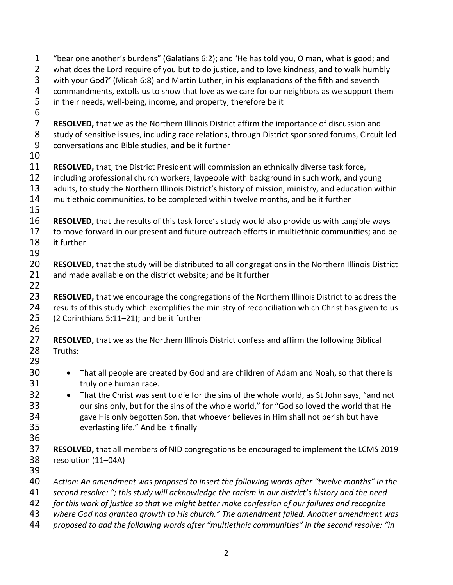| $\mathbf 1$           | "bear one another's burdens" (Galatians 6:2); and 'He has told you, O man, what is good; and         |
|-----------------------|------------------------------------------------------------------------------------------------------|
| $\overline{2}$        | what does the Lord require of you but to do justice, and to love kindness, and to walk humbly        |
| 3                     | with your God?' (Micah 6:8) and Martin Luther, in his explanations of the fifth and seventh          |
| 4                     | commandments, extolls us to show that love as we care for our neighbors as we support them           |
| 5<br>$\boldsymbol{6}$ | in their needs, well-being, income, and property; therefore be it                                    |
| $\overline{7}$        | RESOLVED, that we as the Northern Illinois District affirm the importance of discussion and          |
| 8                     | study of sensitive issues, including race relations, through District sponsored forums, Circuit led  |
| 9                     | conversations and Bible studies, and be it further                                                   |
| 10                    |                                                                                                      |
| 11                    | RESOLVED, that, the District President will commission an ethnically diverse task force,             |
| 12                    | including professional church workers, laypeople with background in such work, and young             |
| 13                    | adults, to study the Northern Illinois District's history of mission, ministry, and education within |
| 14                    | multiethnic communities, to be completed within twelve months, and be it further                     |
| 15                    |                                                                                                      |
| 16                    | RESOLVED, that the results of this task force's study would also provide us with tangible ways       |
| 17                    | to move forward in our present and future outreach efforts in multiethnic communities; and be        |
| 18                    | it further                                                                                           |
| 19                    |                                                                                                      |
| 20                    | RESOLVED, that the study will be distributed to all congregations in the Northern Illinois District  |
| 21                    | and made available on the district website; and be it further                                        |
| 22                    |                                                                                                      |
| 23                    | RESOLVED, that we encourage the congregations of the Northern Illinois District to address the       |
| 24                    |                                                                                                      |
|                       | results of this study which exemplifies the ministry of reconciliation which Christ has given to us  |
| 25<br>26              | (2 Corinthians 5:11-21); and be it further                                                           |
| 27                    | RESOLVED, that we as the Northern Illinois District confess and affirm the following Biblical        |
| 28                    | Truths:                                                                                              |
| 29                    |                                                                                                      |
| 30                    |                                                                                                      |
| 31                    | That all people are created by God and are children of Adam and Noah, so that there is               |
|                       | truly one human race.                                                                                |
| 32                    | That the Christ was sent to die for the sins of the whole world, as St John says, "and not           |
| 33                    | our sins only, but for the sins of the whole world," for "God so loved the world that He             |
| 34                    | gave His only begotten Son, that whoever believes in Him shall not perish but have                   |
| 35                    | everlasting life." And be it finally                                                                 |
| 36                    |                                                                                                      |
| 37                    | RESOLVED, that all members of NID congregations be encouraged to implement the LCMS 2019             |
| 38                    | resolution (11-04A)                                                                                  |
| 39                    |                                                                                                      |
| 40                    | Action: An amendment was proposed to insert the following words after "twelve months" in the         |
| 41                    | second resolve: "; this study will acknowledge the racism in our district's history and the need     |
| 42                    | for this work of justice so that we might better make confession of our failures and recognize       |
| 43                    | where God has granted growth to His church." The amendment failed. Another amendment was             |
| 44                    | proposed to add the following words after "multiethnic communities" in the second resolve: "in       |